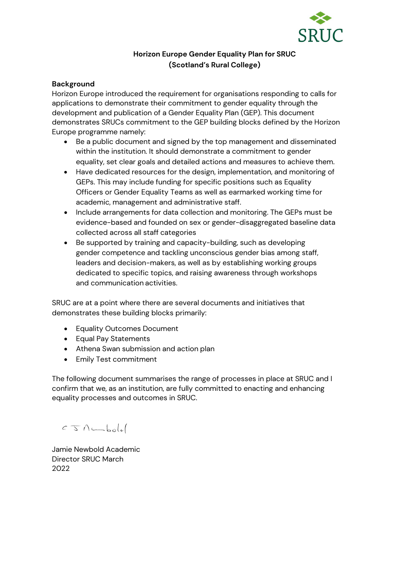

# **Horizon Europe Gender Equality Plan for SRUC (Scotland's Rural College)**

#### **Background**

Horizon Europe introduced the requirement for organisations responding to calls for applications to demonstrate their commitment to gender equality through the development and publication of a Gender Equality Plan (GEP). This document demonstrates SRUCs commitment to the GEP building blocks defined by the Horizon Europe programme namely:

- Be a public document and signed by the top management and disseminated within the institution. It should demonstrate a commitment to gender equality, set clear goals and detailed actions and measures to achieve them.
- Have dedicated resources for the design, implementation, and monitoring of GEPs. This may include funding for specific positions such as Equality Officers or Gender Equality Teams as well as earmarked working time for academic, management and administrative staff.
- Include arrangements for data collection and monitoring. The GEPs must be evidence-based and founded on sex or gender-disaggregated baseline data collected across all staff categories
- Be supported by training and capacity-building, such as developing gender competence and tackling unconscious gender bias among staff, leaders and decision-makers, as well as by establishing working groups dedicated to specific topics, and raising awareness through workshops and communication activities.

SRUC are at a point where there are several documents and initiatives that demonstrates these building blocks primarily:

- Equality Outcomes Document
- Equal Pay Statements
- Athena Swan submission and action plan
- Emily Test commitment

The following document summarises the range of processes in place at SRUC and I confirm that we, as an institution, are fully committed to enacting and enhancing equality processes and outcomes in SRUC.

 $C\sqrt{1-\frac{1}{2}}$ 

Jamie Newbold Academic Director SRUC March 2022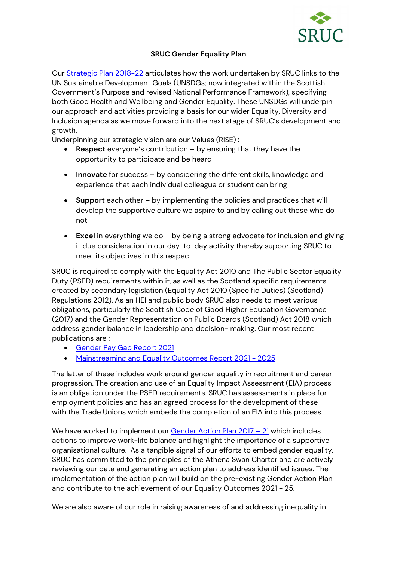

## **SRUC Gender Equality Plan**

Our [Strategic Plan 2018-22](https://www.sruc.ac.uk/media/vonbarn1/sruc-strategy-2018-2022.pdf) [a](https://www.sruc.ac.uk/media/vonbarn1/sruc-strategy-2018-2022.pdf)rticulates how the work undertaken by SRUC links to the UN Sustainable Development Goals (UNSDGs; now integrated within the Scottish Government's Purpose and revised National Performance Framework), specifying both Good Health and Wellbeing and Gender Equality. These UNSDGs will underpin our approach and activities providing a basis for our wider Equality, Diversity and Inclusion agenda as we move forward into the next stage of SRUC's development and growth.

Underpinning our strategic vision are our Values (RISE) :

- **Respect** everyone's contribution by ensuring that they have the opportunity to participate and be heard
- **Innovate** for success by considering the different skills, knowledge and experience that each individual colleague or student can bring
- **Support** each other by implementing the policies and practices that will develop the supportive culture we aspire to and by calling out those who do not
- **Excel** in everything we do by being a strong advocate for inclusion and giving it due consideration in our day-to-day activity thereby supporting SRUC to meet its objectives in this respect

SRUC is required to comply with the Equality Act 2010 and The Public Sector Equality Duty (PSED) requirements within it, as well as the Scotland specific requirements created by secondary legislation (Equality Act 2010 (Specific Duties) (Scotland) Regulations 2012). As an HEI and public body SRUC also needs to meet various obligations, particularly the Scottish Code of Good Higher Education Governance (2017) and the Gender Representation on Public Boards (Scotland) Act 2018 which address gender balance in leadership and decision- making. Our most recent publications are :

- [Gender Pay Gap Report](https://www.sruc.ac.uk/media/lukgdnwb/psed-pay-gap-report-2021.pdf) [2021](https://www.sruc.ac.uk/media/lukgdnwb/psed-pay-gap-report-2021.pdf)
- [Mainstreaming and Equality Outcomes Report 2021 -](https://www.sruc.ac.uk/media/2d4f2elp/psed-equality-outcomes-report-2021.pdf) 2025

The latter of these includes work around gender equality in recruitment and career progression. The creation and use of an Equality Impact Assessment (EIA) process is an obligation under the PSED requirements. SRUC has assessments in place for employment policies and has an agreed process for the development of these with the Trade Unions which embeds the completion of an EIA into this process.

We have worked to implement our **Gender Action Plan 2017 – 21** which includes actions to improve work-life balance and highlight the importance of a supportive organisational culture. As a tangible signal of our efforts to embed gender equality, SRUC has committed to the principles of the Athena Swan Charter and are actively reviewing our data and generating an action plan to address identified issues. The implementation of the action plan will build on the pre-existing Gender Action Plan and contribute to the achievement of our Equality Outcomes 2021 - 25.

We are also aware of our role in raising awareness of and addressing inequality in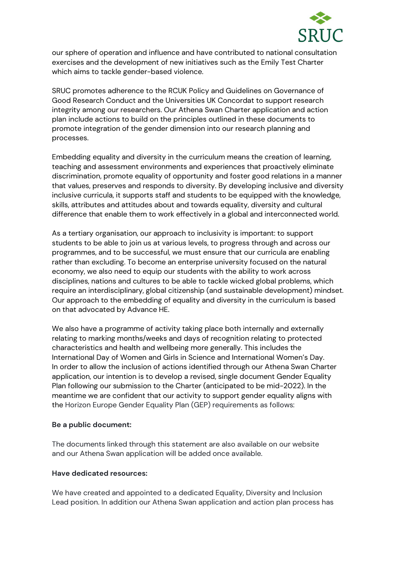

our sphere of operation and influence and have contributed to national consultation exercises and the development of new initiatives such as the Emily Test Charter which aims to tackle gender-based violence.

SRUC promotes adherence to the RCUK Policy and Guidelines on Governance of Good Research Conduct and the Universities UK Concordat to support research integrity among our researchers. Our Athena Swan Charter application and action plan include actions to build on the principles outlined in these documents to promote integration of the gender dimension into our research planning and processes.

Embedding equality and diversity in the curriculum means the creation of learning, teaching and assessment environments and experiences that proactively eliminate discrimination, promote equality of opportunity and foster good relations in a manner that values, preserves and responds to diversity. By developing inclusive and diversity inclusive curricula, it supports staff and students to be equipped with the knowledge, skills, attributes and attitudes about and towards equality, diversity and cultural difference that enable them to work effectively in a global and interconnected world.

As a tertiary organisation, our approach to inclusivity is important: to support students to be able to join us at various levels, to progress through and across our programmes, and to be successful, we must ensure that our curricula are enabling rather than excluding. To become an enterprise university focused on the natural economy, we also need to equip our students with the ability to work across disciplines, nations and cultures to be able to tackle wicked global problems, which require an interdisciplinary, global citizenship (and sustainable development) mindset. Our approach to the embedding of equality and diversity in the curriculum is based on that advocated by Advance HE.

We also have a programme of activity taking place both internally and externally relating to marking months/weeks and days of recognition relating to protected characteristics and health and wellbeing more generally. This includes the International Day of Women and Girls in Science and International Women's Day. In order to allow the inclusion of actions identified through our Athena Swan Charter application, our intention is to develop a revised, single document Gender Equality Plan following our submission to the Charter (anticipated to be mid-2022). In the meantime we are confident that our activity to support gender equality aligns with the Horizon Europe Gender Equality Plan (GEP) requirements as follows:

#### **Be a public document:**

The documents linked through this statement are also available on our website and our Athena Swan application will be added once available.

#### **Have dedicated resources:**

We have created and appointed to a dedicated Equality, Diversity and Inclusion Lead position. In addition our Athena Swan application and action plan process has